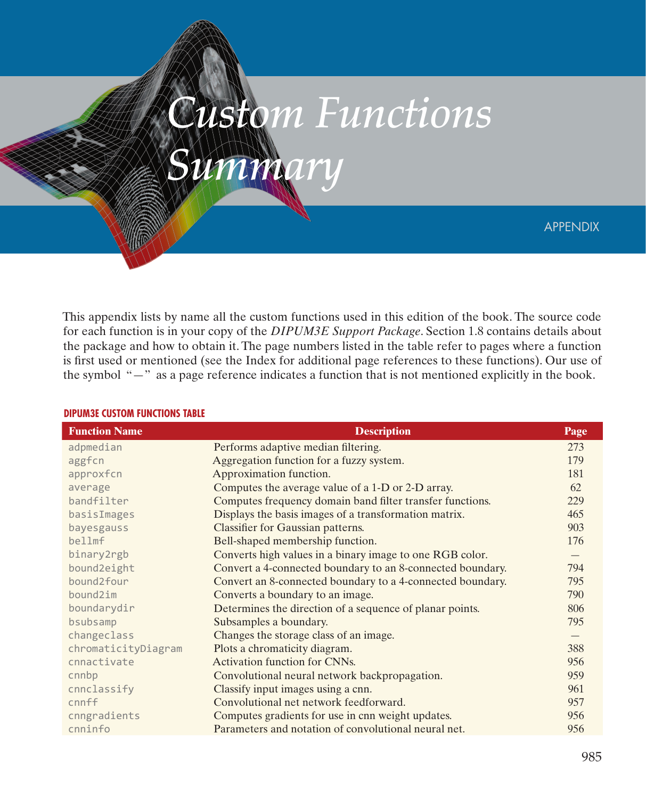APPENDIX

This appendix lists by name all the custom functions used in this edition of the book. The source code for each function is in your copy of the *DIPUM3E Support Package*. Section 1.8 contains details about the package and how to obtain it. The page numbers listed in the table refer to pages where a function is first used or mentioned (see the Index for additional page references to these functions). Our use of the symbol "—" as a page reference indicates a function that is not mentioned explicitly in the book.

*Custom Functions* 

*Summary*

| <b>Function Name</b> | <b>Description</b>                                         | Page              |
|----------------------|------------------------------------------------------------|-------------------|
| adpmedian            | Performs adaptive median filtering.                        | 273               |
| aggfcn               | Aggregation function for a fuzzy system.                   | 179               |
| approxfcn            | Approximation function.                                    | 181               |
| average              | Computes the average value of a 1-D or 2-D array.          | 62                |
| bandfilter           | Computes frequency domain band filter transfer functions.  | 229               |
| basisImages          | Displays the basis images of a transformation matrix.      | 465               |
| bayesgauss           | Classifier for Gaussian patterns.                          | 903               |
| bellmf               | Bell-shaped membership function.                           | 176               |
| binary2rgb           | Converts high values in a binary image to one RGB color.   | $\qquad \qquad -$ |
| bound2eight          | Convert a 4-connected boundary to an 8-connected boundary. | 794               |
| bound2four           | Convert an 8-connected boundary to a 4-connected boundary. | 795               |
| bound2im             | Converts a boundary to an image.                           | 790               |
| boundarydir          | Determines the direction of a sequence of planar points.   | 806               |
| bsubsamp             | Subsamples a boundary.                                     | 795               |
| changeclass          | Changes the storage class of an image.                     |                   |
| chromaticityDiagram  | Plots a chromaticity diagram.                              | 388               |
| cnnactivate          | Activation function for CNNs.                              | 956               |
| cnnbp                | Convolutional neural network backpropagation.              | 959               |
| cnnclassify          | Classify input images using a cnn.                         | 961               |
| cnnff                | Convolutional net network feedforward.                     | 957               |
| cnngradients         | Computes gradients for use in cnn weight updates.          | 956               |
| cnninfo              | Parameters and notation of convolutional neural net.       | 956               |

## **DIPUM3E CUSTOM FUNCTIONS TABLE**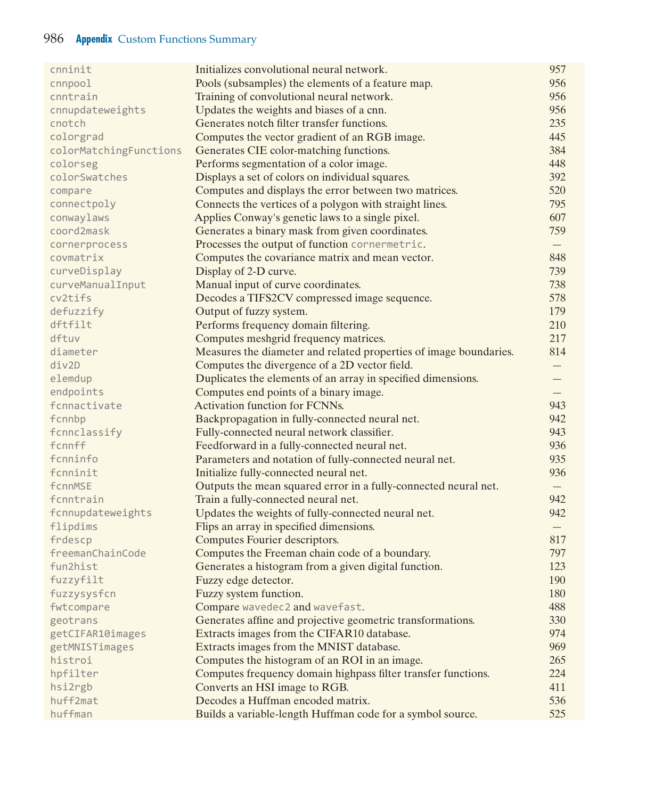## 986 **Appendix** Custom Functions Summary

| cnninit                | Initializes convolutional neural network.                         | 957               |
|------------------------|-------------------------------------------------------------------|-------------------|
| $c$ nnpoo $1$          | Pools (subsamples) the elements of a feature map.                 | 956               |
| cnntrain               | Training of convolutional neural network.                         | 956               |
| cnnupdateweights       | Updates the weights and biases of a cnn.                          | 956               |
| cnotch                 | Generates notch filter transfer functions.                        | 235               |
| colorgrad              | Computes the vector gradient of an RGB image.                     | 445               |
| colorMatchingFunctions | Generates CIE color-matching functions.                           | 384               |
| colorseg               | Performs segmentation of a color image.                           | 448               |
| colorSwatches          | Displays a set of colors on individual squares.                   | 392               |
| compare                | Computes and displays the error between two matrices.             | 520               |
| connectpoly            | Connects the vertices of a polygon with straight lines.           | 795               |
| conwaylaws             | Applies Conway's genetic laws to a single pixel.                  | 607               |
| coord2mask             | Generates a binary mask from given coordinates.                   | 759               |
| cornerprocess          | Processes the output of function cornermetric.                    |                   |
| covmatrix              | Computes the covariance matrix and mean vector.                   | 848               |
| curveDisplay           | Display of 2-D curve.                                             | 739               |
| curveManualInput       | Manual input of curve coordinates.                                | 738               |
| cv2tifs                | Decodes a TIFS2CV compressed image sequence.                      | 578               |
| defuzzify              | Output of fuzzy system.                                           | 179               |
| dftfilt                | Performs frequency domain filtering.                              | 210               |
| dftuv                  | Computes meshgrid frequency matrices.                             | 217               |
| diameter               | Measures the diameter and related properties of image boundaries. | 814               |
| div2D                  | Computes the divergence of a 2D vector field.                     |                   |
| elemdup                | Duplicates the elements of an array in specified dimensions.      |                   |
| endpoints              | Computes end points of a binary image.                            |                   |
| fcnnactivate           | Activation function for FCNNs.                                    | 943               |
| fcnnbp                 | Backpropagation in fully-connected neural net.                    | 942               |
| fcnnclassify           | Fully-connected neural network classifier.                        | 943               |
| fcnnff                 | Feedforward in a fully-connected neural net.                      | 936               |
| fcnninfo               | Parameters and notation of fully-connected neural net.            | 935               |
| fcnninit               | Initialize fully-connected neural net.                            | 936               |
| fcnnMSE                | Outputs the mean squared error in a fully-connected neural net.   | $\qquad \qquad -$ |
| fcnntrain              | Train a fully-connected neural net.                               | 942               |
| fcnnupdateweights      | Updates the weights of fully-connected neural net.                | 942               |
| flipdims               | Flips an array in specified dimensions.                           |                   |
| frdescp                | Computes Fourier descriptors.                                     | 817               |
| freemanChainCode       | Computes the Freeman chain code of a boundary.                    | 797               |
| fun2hist               | Generates a histogram from a given digital function.              | 123               |
| fuzzyfilt              | Fuzzy edge detector.                                              | 190               |
| fuzzysysfcn            | Fuzzy system function.                                            | 180               |
| fwtcompare             | Compare wavedec2 and wavefast.                                    | 488               |
| geotrans               | Generates affine and projective geometric transformations.        | 330               |
| getCIFAR10images       | Extracts images from the CIFAR10 database.                        | 974               |
| getMNISTimages         | Extracts images from the MNIST database.                          | 969               |
| histroi                | Computes the histogram of an ROI in an image.                     | 265               |
| hpfilter               | Computes frequency domain highpass filter transfer functions.     | 224               |
| hsi2rgb                | Converts an HSI image to RGB.                                     | 411               |
| huff2mat               | Decodes a Huffman encoded matrix.                                 | 536               |
| huffman                | Builds a variable-length Huffman code for a symbol source.        | 525               |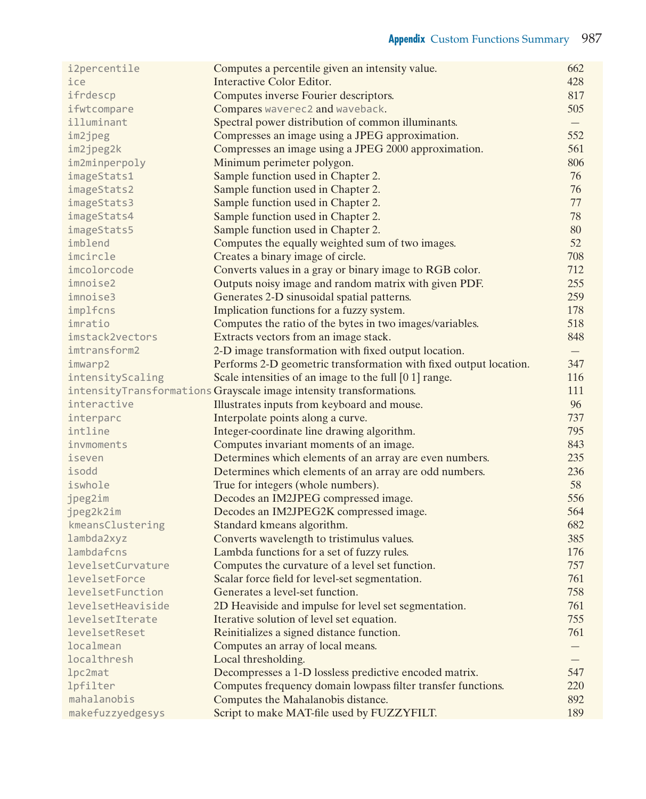| i2percentile      | Computes a percentile given an intensity value.                     | 662 |
|-------------------|---------------------------------------------------------------------|-----|
| ice               | Interactive Color Editor.                                           | 428 |
| ifrdescp          | Computes inverse Fourier descriptors.                               | 817 |
| ifwtcompare       | Compares waverec2 and waveback.                                     | 505 |
| illuminant        | Spectral power distribution of common illuminants.                  | $-$ |
| im2jpeg           | Compresses an image using a JPEG approximation.                     | 552 |
| im2jpeg2k         | Compresses an image using a JPEG 2000 approximation.                | 561 |
| im2minperpoly     | Minimum perimeter polygon.                                          | 806 |
| imageStats1       | Sample function used in Chapter 2.                                  | 76  |
| imageStats2       | Sample function used in Chapter 2.                                  | 76  |
| imageStats3       | Sample function used in Chapter 2.                                  | 77  |
| imageStats4       | Sample function used in Chapter 2.                                  | 78  |
| imageStats5       | Sample function used in Chapter 2.                                  | 80  |
| imblend           | Computes the equally weighted sum of two images.                    | 52  |
| imcircle          | Creates a binary image of circle.                                   | 708 |
| imcolorcode       |                                                                     | 712 |
| imnoise2          | Converts values in a gray or binary image to RGB color.             | 255 |
| imnoise3          | Outputs noisy image and random matrix with given PDF.               |     |
|                   | Generates 2-D sinusoidal spatial patterns.                          | 259 |
| implfcns          | Implication functions for a fuzzy system.                           | 178 |
| imratio           | Computes the ratio of the bytes in two images/variables.            | 518 |
| imstack2vectors   | Extracts vectors from an image stack.                               | 848 |
| imtransform2      | 2-D image transformation with fixed output location.                |     |
| imwarp2           | Performs 2-D geometric transformation with fixed output location.   | 347 |
| intensityScaling  | Scale intensities of an image to the full [0 1] range.              | 116 |
|                   | intensityTransformations Grayscale image intensity transformations. | 111 |
| interactive       | Illustrates inputs from keyboard and mouse.                         | 96  |
| interparc         | Interpolate points along a curve.                                   | 737 |
| intline           | Integer-coordinate line drawing algorithm.                          | 795 |
| invmoments        | Computes invariant moments of an image.                             | 843 |
| iseven            | Determines which elements of an array are even numbers.             | 235 |
| isodd             | Determines which elements of an array are odd numbers.              | 236 |
| iswhole           | True for integers (whole numbers).                                  | 58  |
| jpeg2im           | Decodes an IM2JPEG compressed image.                                | 556 |
| jpeg2k2im         | Decodes an IM2JPEG2K compressed image.                              | 564 |
| kmeansClustering  | Standard kmeans algorithm.                                          | 682 |
| lambda2xyz        | Converts wavelength to tristimulus values.                          | 385 |
| lambdafcns        | Lambda functions for a set of fuzzy rules.                          | 176 |
| levelsetCurvature | Computes the curvature of a level set function.                     | 757 |
| levelsetForce     | Scalar force field for level-set segmentation.                      | 761 |
| levelsetFunction  | Generates a level-set function.                                     | 758 |
| levelsetHeaviside | 2D Heaviside and impulse for level set segmentation.                | 761 |
| levelsetIterate   | Iterative solution of level set equation.                           | 755 |
| levelsetReset     | Reinitializes a signed distance function.                           | 761 |
| localmean         | Computes an array of local means.                                   |     |
| localthresh       | Local thresholding.                                                 |     |
| lpc2mat           | Decompresses a 1-D lossless predictive encoded matrix.              | 547 |
| lpfilter          | Computes frequency domain lowpass filter transfer functions.        | 220 |
| mahalanobis       | Computes the Mahalanobis distance.                                  | 892 |
| makefuzzyedgesys  | Script to make MAT-file used by FUZZYFILT.                          | 189 |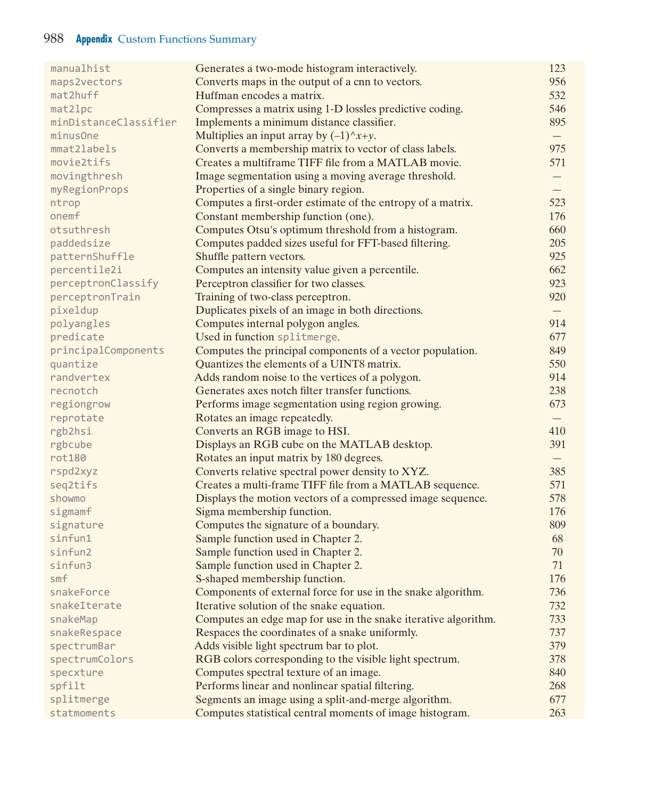## 988 **Appendix** Custom Functions Summary

| manualhist               | Generates a two-mode histogram interactively.                  | 123               |
|--------------------------|----------------------------------------------------------------|-------------------|
| maps2vectors             | Converts maps in the output of a cnn to vectors.               | 956               |
| mat2huff                 | Huffman encodes a matrix.                                      | 532               |
| mat21pc                  | Compresses a matrix using 1-D lossles predictive coding.       | 546               |
| minDistanceClassifier    | Implements a minimum distance classifier.                      | 895               |
| minusOne                 | Multiplies an input array by $(-1)^{x+y}$ .                    | $\qquad \qquad -$ |
| mmat2labels              | Converts a membership matrix to vector of class labels.        | 975               |
| movie2tifs               | Creates a multiframe TIFF file from a MATLAB movie.            | 571               |
| movingthresh             | Image segmentation using a moving average threshold.           |                   |
| myRegionProps            | Properties of a single binary region.                          |                   |
| ntrop                    | Computes a first-order estimate of the entropy of a matrix.    | 523               |
| onemf                    | Constant membership function (one).                            | 176               |
| otsuthresh               | Computes Otsu's optimum threshold from a histogram.            | 660               |
| paddedsize               | Computes padded sizes useful for FFT-based filtering.          | 205               |
| patternShuffle           | Shuffle pattern vectors.                                       | 925               |
| percentile2i             | Computes an intensity value given a percentile.                | 662               |
| perceptronClassify       | Perceptron classifier for two classes.                         | 923               |
| perceptronTrain          | Training of two-class perceptron.                              | 920               |
| pixeldup                 | Duplicates pixels of an image in both directions.              | $\qquad \qquad -$ |
| polyangles               | Computes internal polygon angles.                              | 914               |
| predicate                | Used in function splitmerge.                                   | 677               |
| principalComponents      | Computes the principal components of a vector population.      | 849               |
| quantize                 | Quantizes the elements of a UINT8 matrix.                      | 550               |
| randvertex               | Adds random noise to the vertices of a polygon.                | 914               |
| recnotch                 | Generates axes notch filter transfer functions.                | 238               |
| regiongrow               | Performs image segmentation using region growing.              | 673               |
| reprotate                | Rotates an image repeatedly.                                   |                   |
| rgb2hsi                  | Converts an RGB image to HSI.                                  | 410               |
| rgbcube                  | Displays an RGB cube on the MATLAB desktop.                    | 391               |
| rot180                   | Rotates an input matrix by 180 degrees.                        | $-$               |
| rspd2xyz                 | Converts relative spectral power density to XYZ.               | 385               |
| seq2tifs                 | Creates a multi-frame TIFF file from a MATLAB sequence.        | 571               |
| showmo                   | Displays the motion vectors of a compressed image sequence.    | 578               |
| sigmamf                  | Sigma membership function.                                     | 176               |
| signature                | Computes the signature of a boundary.                          | 809               |
| sinfun1                  | Sample function used in Chapter 2.                             | 68                |
| sinfun2                  | Sample function used in Chapter 2.                             | 70                |
| sinfun3                  | Sample function used in Chapter 2.                             | 71                |
| smf                      | S-shaped membership function.                                  | 176               |
| snakeForce               | Components of external force for use in the snake algorithm.   | 736               |
| snakeIterate             | Iterative solution of the snake equation.                      | 732               |
|                          |                                                                |                   |
| snakeMap<br>snakeRespace | Computes an edge map for use in the snake iterative algorithm. | 733               |
|                          | Respaces the coordinates of a snake uniformly.                 | 737               |
| spectrumBar              | Adds visible light spectrum bar to plot.                       | 379               |
| spectrumColors           | RGB colors corresponding to the visible light spectrum.        | 378               |
| specxture                | Computes spectral texture of an image.                         | 840               |
| spfilt                   | Performs linear and nonlinear spatial filtering.               | 268               |
| splitmerge               | Segments an image using a split-and-merge algorithm.           | 677               |
| statmoments              | Computes statistical central moments of image histogram.       | 263               |